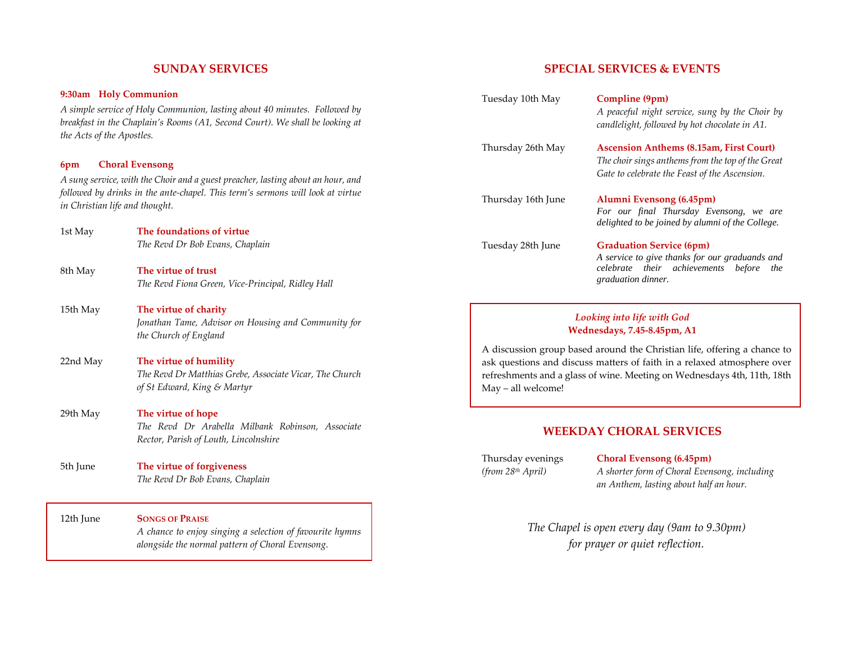### **SUNDAY SERVICES**

#### **9:30am Holy Communion**

*A simple service of Holy Communion, lasting about 40 minutes. Followed by breakfast in the Chaplain's Rooms (A1, Second Court). We shall be looking at the Acts of the Apostles.*

#### **6pm Choral Evensong**

*A sung service, with the Choir and a guest preacher, lasting about an hour, and followed by drinks in the ante-chapel. This term's sermons will look at virtue in Christian life and thought.* 

- 1st May **The foundations of virtue** *The Revd Dr Bob Evans, Chaplain*
- 8th May **The virtue of trust** *The Revd Fiona Green, Vice-Principal, Ridley Hall*
- 15th May **The virtue of charity** *Jonathan Tame, Advisor on Housing and Community for the Church of England*
- 22nd May **The virtue of humility**  *The Revd Dr Matthias Grebe, Associate Vicar, The Church of St Edward, King & Martyr*
- 29th May **The virtue of hope**  *The Revd Dr Arabella Milbank Robinson, Associate Rector, Parish of Louth, Lincolnshire*
- 5th June **The virtue of forgiveness**  *The Revd Dr Bob Evans, Chaplain*

12th June **SONGS OF PRAISE** *A chance to enjoy singing a selection of favourite hymns alongside the normal pattern of Choral Evensong.*

### **SPECIAL SERVICES & EVENTS**

| Tuesday 10th May                                                         | Compline (9pm)<br>A peaceful night service, sung by the Choir by<br>candlelight, followed by hot chocolate in A1.                                               |
|--------------------------------------------------------------------------|-----------------------------------------------------------------------------------------------------------------------------------------------------------------|
| Thursday 26th May                                                        | <b>Ascension Anthems (8.15am, First Court)</b><br>The choir sings anthems from the top of the Great<br>Gate to celebrate the Feast of the Ascension.            |
| Thursday 16th June                                                       | Alumni Evensong (6.45pm)<br>For our final Thursday Evensong, we are<br>delighted to be joined by alumni of the College.                                         |
| Tuesday 28th June                                                        | <b>Graduation Service (6pm)</b><br>A service to give thanks for our graduands and<br>celebrate their achievements<br><i>before</i><br>the<br>graduation dinner. |
| Looking into life with God<br>Wednesdays, 7.45-8.45pm, A1                |                                                                                                                                                                 |
| A discussion group based around the Christian life, offering a chance to |                                                                                                                                                                 |

A discussion group based around the Christian life, offering a chance to ask questions and discuss matters of faith in a relaxed atmosphere over refreshments and a glass of wine. Meeting on Wednesdays 4th, 11th, 18th May – all welcome!

#### **WEEKDAY CHORAL SERVICES**

Thursday evenings **Choral Evensong (6.45pm)**

*(from 28th April) A shorter form of Choral Evensong, including an Anthem, lasting about half an hour.* 

> *The Chapel is open every day (9am to 9.30pm) for prayer or quiet reflection.*